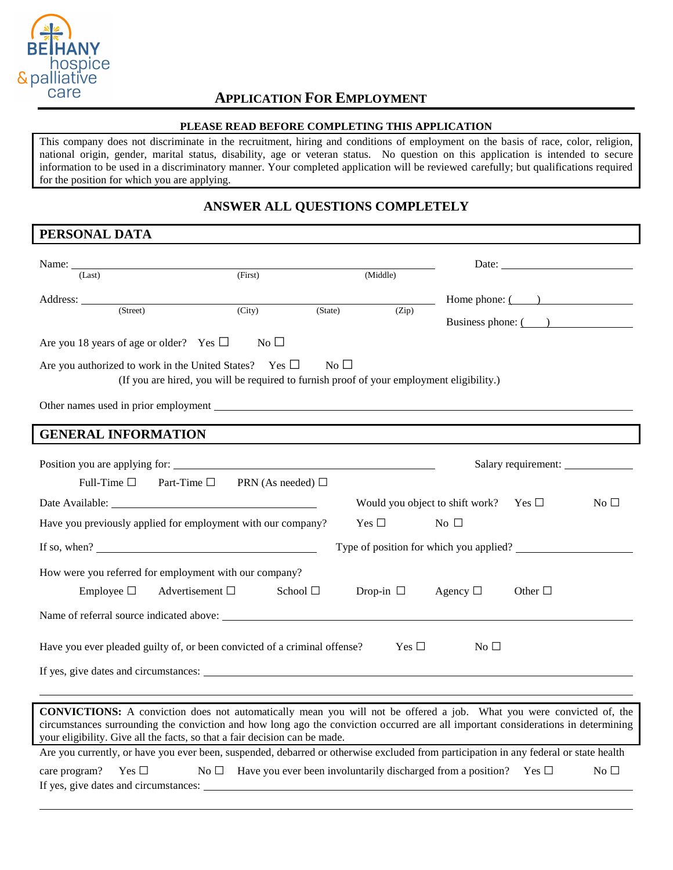

### **APPLICATION FOR EMPLOYMENT**

#### **PLEASE READ BEFORE COMPLETING THIS APPLICATION**

This company does not discriminate in the recruitment, hiring and conditions of employment on the basis of race, color, religion, national origin, gender, marital status, disability, age or veteran status. No question on this application is intended to secure information to be used in a discriminatory manner. Your completed application will be reviewed carefully; but qualifications required for the position for which you are applying.

### **ANSWER ALL QUESTIONS COMPLETELY**

### **PERSONAL DATA**

|                                                                                                                                                                                                                 |                                                                                           |                |                |                                            | Date:                 |                 |
|-----------------------------------------------------------------------------------------------------------------------------------------------------------------------------------------------------------------|-------------------------------------------------------------------------------------------|----------------|----------------|--------------------------------------------|-----------------------|-----------------|
| (Last)                                                                                                                                                                                                          | (First)                                                                                   |                | (Middle)       |                                            |                       |                 |
| Address:                                                                                                                                                                                                        |                                                                                           |                |                |                                            | Home phone: $($ $)$   |                 |
| (Street)                                                                                                                                                                                                        | (City)                                                                                    | (State)        | (Zip)          |                                            | Business phone: $($ ) |                 |
| Are you 18 years of age or older? Yes $\Box$                                                                                                                                                                    | $No$ $\square$                                                                            |                |                |                                            |                       |                 |
|                                                                                                                                                                                                                 |                                                                                           |                |                |                                            |                       |                 |
| Are you authorized to work in the United States? Yes $\Box$                                                                                                                                                     |                                                                                           | $No$ $\square$ |                |                                            |                       |                 |
|                                                                                                                                                                                                                 | (If you are hired, you will be required to furnish proof of your employment eligibility.) |                |                |                                            |                       |                 |
|                                                                                                                                                                                                                 |                                                                                           |                |                |                                            |                       |                 |
| <b>GENERAL INFORMATION</b>                                                                                                                                                                                      |                                                                                           |                |                |                                            |                       |                 |
|                                                                                                                                                                                                                 |                                                                                           |                |                |                                            |                       |                 |
|                                                                                                                                                                                                                 |                                                                                           |                |                |                                            |                       |                 |
| Full-Time $\square$<br>Part-Time $\square$                                                                                                                                                                      | PRN (As needed) $\Box$                                                                    |                |                |                                            |                       |                 |
| Date Available:                                                                                                                                                                                                 |                                                                                           |                |                | Would you object to shift work? Yes $\Box$ |                       | No <sub>1</sub> |
| Have you previously applied for employment with our company?                                                                                                                                                    |                                                                                           |                | Yes $\Box$     | No $\Box$                                  |                       |                 |
| If so, when?                                                                                                                                                                                                    |                                                                                           |                |                | Type of position for which you applied?    |                       |                 |
| How were you referred for employment with our company?                                                                                                                                                          |                                                                                           |                |                |                                            |                       |                 |
| Employee $\Box$                                                                                                                                                                                                 | Advertisement $\Box$<br>School □                                                          |                | Drop-in $\Box$ | Agency $\square$                           | Other $\Box$          |                 |
|                                                                                                                                                                                                                 |                                                                                           |                |                |                                            |                       |                 |
|                                                                                                                                                                                                                 |                                                                                           |                |                |                                            |                       |                 |
| Have you ever pleaded guilty of, or been convicted of a criminal offense?                                                                                                                                       |                                                                                           |                | Yes $\square$  | No <sub>1</sub>                            |                       |                 |
|                                                                                                                                                                                                                 |                                                                                           |                |                |                                            |                       |                 |
|                                                                                                                                                                                                                 |                                                                                           |                |                |                                            |                       |                 |
| <b>CONVICTIONS:</b> A conviction does not automatically mean you will not be offered a job. What you were convicted of, the                                                                                     |                                                                                           |                |                |                                            |                       |                 |
| circumstances surrounding the conviction and how long ago the conviction occurred are all important considerations in determining<br>your eligibility. Give all the facts, so that a fair decision can be made. |                                                                                           |                |                |                                            |                       |                 |
| Are you currently, or have you ever been, suspended, debarred or otherwise excluded from participation in any federal or state health                                                                           |                                                                                           |                |                |                                            |                       |                 |
| Yes $\Box$<br>care program?                                                                                                                                                                                     | No $\Box$ Have you ever been involuntarily discharged from a position? Yes $\Box$         |                |                |                                            |                       | No $\Box$       |
| If yes, give dates and circumstances:                                                                                                                                                                           |                                                                                           |                |                |                                            |                       |                 |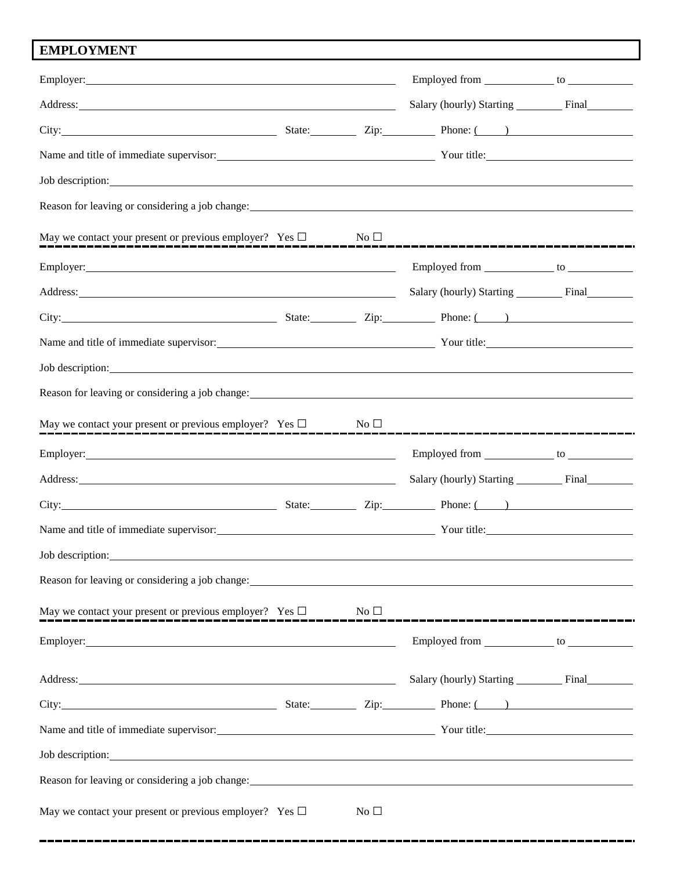# **EMPLOYMENT**

| Address: <u>Address:</u> Address: Address: Address: Address: Address: Address: Address: Address: Address: Address: Address: Address: Address: Address: Address: Address: Address: Address: Address: Address: Address: Address: Addr                                               |                 | Salary (hourly) Starting Final                     |  |
|-----------------------------------------------------------------------------------------------------------------------------------------------------------------------------------------------------------------------------------------------------------------------------------|-----------------|----------------------------------------------------|--|
| City: City: City: City: City: City: City: City: City: City: City: City: City: City: City: City: City: City: City: City: City: City: City: City: City: City: City: City: City: City: City: City: City: City: City: City: City:                                                     |                 |                                                    |  |
| Name and title of immediate supervisor: Vour title: Vour title:                                                                                                                                                                                                                   |                 |                                                    |  |
| Job description: Note that the same state of the same state of the same state of the same state of the same state of the same state of the same state of the same state of the same state of the same state of the same state                                                     |                 |                                                    |  |
|                                                                                                                                                                                                                                                                                   |                 |                                                    |  |
| May we contact your present or previous employer? Yes $\square$ No $\square$                                                                                                                                                                                                      |                 |                                                    |  |
|                                                                                                                                                                                                                                                                                   |                 |                                                    |  |
| Address: National Address: National Address: National Address: National Address: National Address: National Address: National Address: National Address: National Address: National Address: National Address: National Addres                                                    |                 |                                                    |  |
| City: City: City: City: City: City: City: City: City: City: City: City: City: City: City: City: City: City: City: City: City: City: City: City: City: City: City: City: City: City: City: City: City: City: City: City: City:                                                     |                 |                                                    |  |
| Name and title of immediate supervisor: Vour title: Your title:                                                                                                                                                                                                                   |                 |                                                    |  |
| Job description:                                                                                                                                                                                                                                                                  |                 |                                                    |  |
| Reason for leaving or considering a job change: Manual Assembly of the set of the set of the set of the set of the set of the set of the set of the set of the set of the set of the set of the set of the set of the set of t                                                    |                 |                                                    |  |
|                                                                                                                                                                                                                                                                                   |                 |                                                    |  |
|                                                                                                                                                                                                                                                                                   |                 |                                                    |  |
| Address: Note and the contract of the contract of the contract of the contract of the contract of the contract of the contract of the contract of the contract of the contract of the contract of the contract of the contract                                                    |                 | Salary (hourly) Starting __________ Final_________ |  |
| City: City: City: City: City: City: City: City: City: City: City: City: City: City: City: City: City: City: City: City: City: City: City: City: City: City: City: City: City: City: City: City: City: City: City: City: City:                                                     |                 |                                                    |  |
| Name and title of immediate supervisor: Vour title: Vour title:                                                                                                                                                                                                                   |                 |                                                    |  |
| Job description:<br><u>and the state of the state of the state of the state of the state of the state of the state of the state of th</u>                                                                                                                                         |                 |                                                    |  |
| Reason for leaving or considering a job change: example of the state of the state of the state of the state of the state of the state of the state of the state of the state of the state of the state of the state of the sta                                                    |                 |                                                    |  |
| May we contact your present or previous employer? Yes $\square$ No $\square$                                                                                                                                                                                                      |                 |                                                    |  |
|                                                                                                                                                                                                                                                                                   |                 |                                                    |  |
| Address: <u>Address:</u> Address: <b>Address:</b> Address: <b>Address:</b> Address: <b>Address:</b> Address: <b>Address:</b> Address: <b>Address:</b> Address: <b>Address:</b> Address: <b>Address:</b> Address: <b>Address:</b> Address: <b>Address: Address: Address: Addre</b> |                 | Salary (hourly) Starting _________ Final_________  |  |
| City: City: City: City: City: City: City: City: City: City: City: City: City: City: City: City: City: City: City: City: City: City: City: City: City: City: City: City: City: City: City: City: City: City: City: City: City:                                                     |                 |                                                    |  |
| Name and title of immediate supervisor: Vour title: Your title:                                                                                                                                                                                                                   |                 |                                                    |  |
| Job description: Note and the set of the set of the set of the set of the set of the set of the set of the set of the set of the set of the set of the set of the set of the set of the set of the set of the set of the set o                                                    |                 |                                                    |  |
|                                                                                                                                                                                                                                                                                   |                 |                                                    |  |
| May we contact your present or previous employer? Yes $\Box$                                                                                                                                                                                                                      | No <sub>1</sub> |                                                    |  |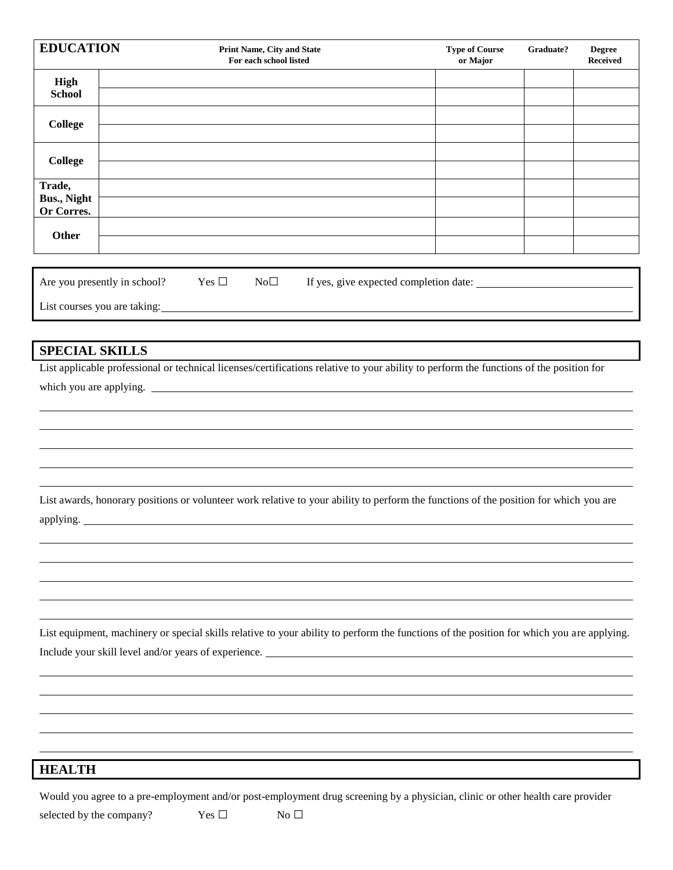| <b>High</b><br><b>School</b><br><b>College</b><br><b>College</b><br>Trade,<br><b>Bus., Night</b><br>Or Corres.<br>Other<br>Yes $\Box$<br>Are you presently in school?<br>List courses you are taking:<br><b>SPECIAL SKILLS</b><br>List applicable professional or technical licenses/certifications relative to your ability to perform the functions of the position for<br>which you are applying. |                                                                                                                                                                                                                                |  |  |
|------------------------------------------------------------------------------------------------------------------------------------------------------------------------------------------------------------------------------------------------------------------------------------------------------------------------------------------------------------------------------------------------------|--------------------------------------------------------------------------------------------------------------------------------------------------------------------------------------------------------------------------------|--|--|
|                                                                                                                                                                                                                                                                                                                                                                                                      |                                                                                                                                                                                                                                |  |  |
|                                                                                                                                                                                                                                                                                                                                                                                                      |                                                                                                                                                                                                                                |  |  |
|                                                                                                                                                                                                                                                                                                                                                                                                      |                                                                                                                                                                                                                                |  |  |
|                                                                                                                                                                                                                                                                                                                                                                                                      |                                                                                                                                                                                                                                |  |  |
|                                                                                                                                                                                                                                                                                                                                                                                                      |                                                                                                                                                                                                                                |  |  |
|                                                                                                                                                                                                                                                                                                                                                                                                      | $No\square$<br>If yes, give expected completion date:                                                                                                                                                                          |  |  |
|                                                                                                                                                                                                                                                                                                                                                                                                      |                                                                                                                                                                                                                                |  |  |
|                                                                                                                                                                                                                                                                                                                                                                                                      |                                                                                                                                                                                                                                |  |  |
| applying.                                                                                                                                                                                                                                                                                                                                                                                            | List awards, honorary positions or volunteer work relative to your ability to perform the functions of the position for which you are                                                                                          |  |  |
|                                                                                                                                                                                                                                                                                                                                                                                                      |                                                                                                                                                                                                                                |  |  |
|                                                                                                                                                                                                                                                                                                                                                                                                      | List equipment, machinery or special skills relative to your ability to perform the functions of the position for which you are applying.<br>Include your skill level and/or years of experience. ____________________________ |  |  |
|                                                                                                                                                                                                                                                                                                                                                                                                      |                                                                                                                                                                                                                                |  |  |

## **HEALTH**

Would you agree to a pre-employment and/or post-employment drug screening by a physician, clinic or other health care provider

selected by the company? Yes  $\Box$  No  $\Box$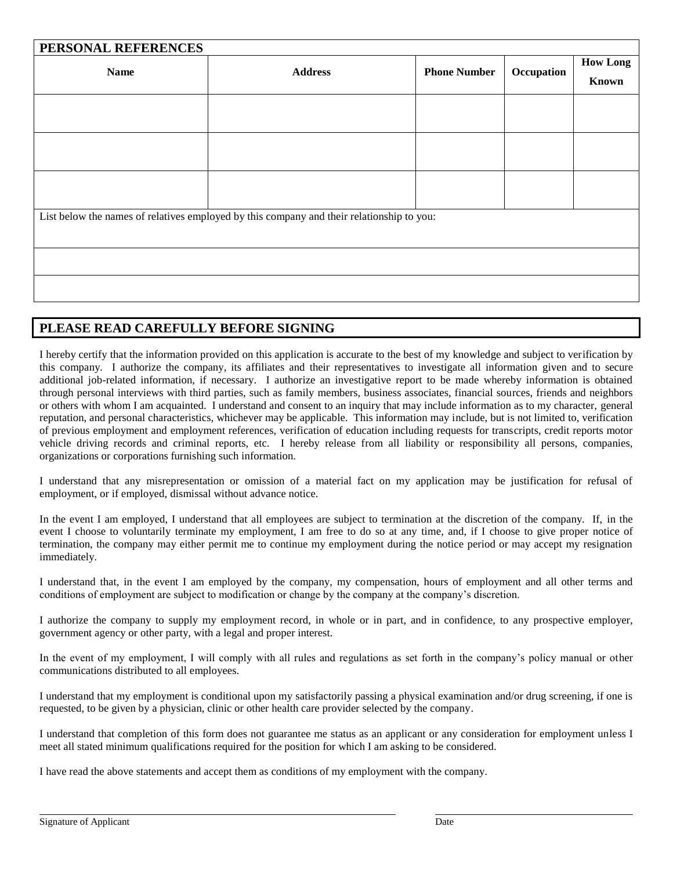| PERSONAL REFERENCES                                                                       |                |                     |            |                                 |  |  |  |
|-------------------------------------------------------------------------------------------|----------------|---------------------|------------|---------------------------------|--|--|--|
| <b>Name</b>                                                                               | <b>Address</b> | <b>Phone Number</b> | Occupation | <b>How Long</b><br><b>Known</b> |  |  |  |
|                                                                                           |                |                     |            |                                 |  |  |  |
|                                                                                           |                |                     |            |                                 |  |  |  |
|                                                                                           |                |                     |            |                                 |  |  |  |
| List below the names of relatives employed by this company and their relationship to you: |                |                     |            |                                 |  |  |  |
|                                                                                           |                |                     |            |                                 |  |  |  |
|                                                                                           |                |                     |            |                                 |  |  |  |

### **PLEASE READ CAREFULLY BEFORE SIGNING**

I hereby certify that the information provided on this application is accurate to the best of my knowledge and subject to verification by this company. I authorize the company, its affiliates and their representatives to investigate all information given and to secure additional job-related information, if necessary. I authorize an investigative report to be made whereby information is obtained through personal interviews with third parties, such as family members, business associates, financial sources, friends and neighbors or others with whom I am acquainted. I understand and consent to an inquiry that may include information as to my character, general reputation, and personal characteristics, whichever may be applicable. This information may include, but is not limited to, verification of previous employment and employment references, verification of education including requests for transcripts, credit reports motor vehicle driving records and criminal reports, etc. I hereby release from all liability or responsibility all persons, companies, organizations or corporations furnishing such information.

I understand that any misrepresentation or omission of a material fact on my application may be justification for refusal of employment, or if employed, dismissal without advance notice.

In the event I am employed, I understand that all employees are subject to termination at the discretion of the company. If, in the event I choose to voluntarily terminate my employment, I am free to do so at any time, and, if I choose to give proper notice of termination, the company may either permit me to continue my employment during the notice period or may accept my resignation immediately.

I understand that, in the event I am employed by the company, my compensation, hours of employment and all other terms and conditions of employment are subject to modification or change by the company at the company's discretion.

I authorize the company to supply my employment record, in whole or in part, and in confidence, to any prospective employer, government agency or other party, with a legal and proper interest.

In the event of my employment, I will comply with all rules and regulations as set forth in the company's policy manual or other communications distributed to all employees.

I understand that my employment is conditional upon my satisfactorily passing a physical examination and/or drug screening, if one is requested, to be given by a physician, clinic or other health care provider selected by the company.

I understand that completion of this form does not guarantee me status as an applicant or any consideration for employment unless I meet all stated minimum qualifications required for the position for which I am asking to be considered.

I have read the above statements and accept them as conditions of my employment with the company.